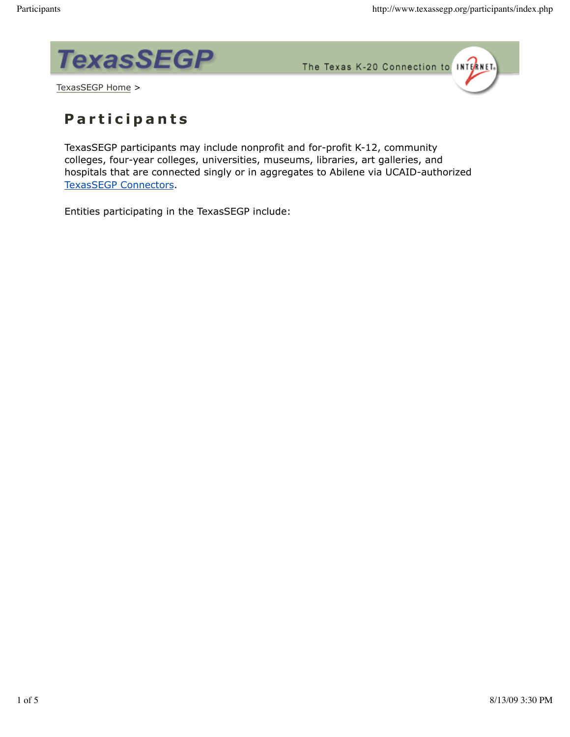

The Texas K-20 Connection to INTERNET.



## **P a r t i c i p a n t s**

TexasSEGP participants may include nonprofit and for-profit K-12, community colleges, four-year colleges, universities, museums, libraries, art galleries, and hospitals that are connected singly or in aggregates to Abilene via UCAID-authorized TexasSEGP Connectors.

Entities participating in the TexasSEGP include: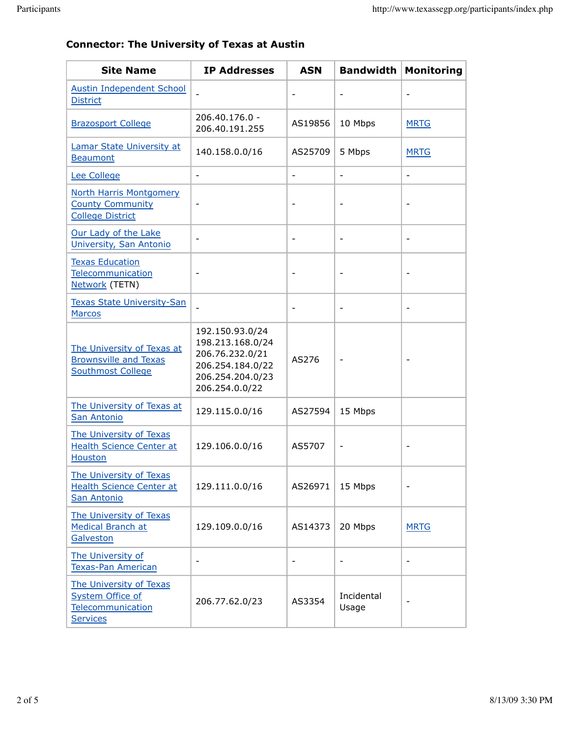|  |  | <b>Connector: The University of Texas at Austin</b> |  |  |  |  |
|--|--|-----------------------------------------------------|--|--|--|--|
|--|--|-----------------------------------------------------|--|--|--|--|

| <b>Site Name</b>                                                                           | <b>IP Addresses</b>                                                                                              | <b>ASN</b>               | <b>Bandwidth</b>             | <b>Monitoring</b>        |
|--------------------------------------------------------------------------------------------|------------------------------------------------------------------------------------------------------------------|--------------------------|------------------------------|--------------------------|
| <b>Austin Independent School</b><br><b>District</b>                                        |                                                                                                                  | $\overline{\phantom{a}}$ |                              |                          |
| <b>Brazosport College</b>                                                                  | 206.40.176.0 -<br>206.40.191.255                                                                                 | AS19856                  | 10 Mbps                      | <b>MRTG</b>              |
| Lamar State University at<br><b>Beaumont</b>                                               | 140.158.0.0/16                                                                                                   | AS25709                  | 5 Mbps                       | <b>MRTG</b>              |
| Lee College                                                                                | $\overline{a}$                                                                                                   | $\frac{1}{2}$            | ÷,                           | $\overline{\phantom{a}}$ |
| <b>North Harris Montgomery</b><br><b>County Community</b><br><b>College District</b>       | $\overline{a}$                                                                                                   | $\qquad \qquad -$        |                              |                          |
| Our Lady of the Lake<br>University, San Antonio                                            |                                                                                                                  | $\qquad \qquad -$        |                              |                          |
| <b>Texas Education</b><br>Telecommunication<br>Network (TETN)                              | $\qquad \qquad \blacksquare$                                                                                     | $\overline{\phantom{a}}$ |                              |                          |
| <b>Texas State University-San</b><br><b>Marcos</b>                                         |                                                                                                                  | $\overline{\phantom{a}}$ | $\qquad \qquad \blacksquare$ |                          |
| The University of Texas at<br><b>Brownsville and Texas</b><br><b>Southmost College</b>     | 192.150.93.0/24<br>198.213.168.0/24<br>206.76.232.0/21<br>206.254.184.0/22<br>206.254.204.0/23<br>206.254.0.0/22 | AS276                    | $\overline{\phantom{0}}$     | $\overline{\phantom{a}}$ |
| The University of Texas at<br>San Antonio                                                  | 129.115.0.0/16                                                                                                   | AS27594                  | 15 Mbps                      |                          |
| The University of Texas<br><b>Health Science Center at</b><br><b>Houston</b>               | 129.106.0.0/16                                                                                                   | AS5707                   | -                            |                          |
| The University of Texas<br><b>Health Science Center at</b><br>San Antonio                  | 129.111.0.0/16                                                                                                   | AS26971                  | 15 Mbps                      |                          |
| The University of Texas<br><b>Medical Branch at</b><br>Galveston                           | 129.109.0.0/16                                                                                                   | AS14373                  | 20 Mbps                      | <b>MRTG</b>              |
| The University of<br><b>Texas-Pan American</b>                                             | $\overline{a}$                                                                                                   |                          |                              |                          |
| The University of Texas<br><b>System Office of</b><br>Telecommunication<br><b>Services</b> | 206.77.62.0/23                                                                                                   | AS3354                   | Incidental<br>Usage          |                          |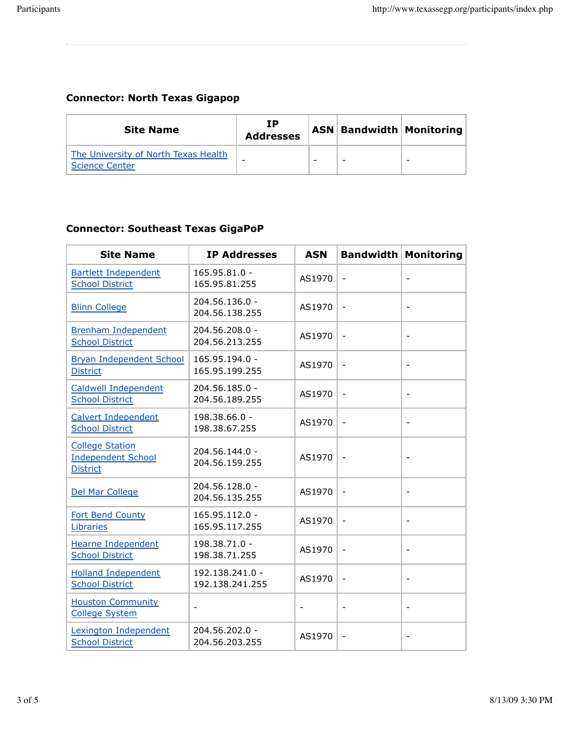$\mathcal{L}^{\text{max}}$ 

## **Connector: North Texas Gigapop**

| <b>Site Name</b>                                              | ΙP<br><b>Addresses</b> |   | <b>ASN   Bandwidth   Monitoring  </b> |
|---------------------------------------------------------------|------------------------|---|---------------------------------------|
| The University of North Texas Health<br><b>Science Center</b> | -                      | - |                                       |

## **Connector: Southeast Texas GigaPoP**

| <b>Site Name</b>                                                       | <b>IP Addresses</b>                | <b>ASN</b>               |                              | <b>Bandwidth Monitoring</b> |
|------------------------------------------------------------------------|------------------------------------|--------------------------|------------------------------|-----------------------------|
| <b>Bartlett Independent</b><br><b>School District</b>                  | 165.95.81.0 -<br>165.95.81.255     | AS1970                   | $\overline{\phantom{a}}$     | $\overline{\phantom{a}}$    |
| <b>Blinn College</b>                                                   | 204.56.136.0 -<br>204.56.138.255   | AS1970                   | $\qquad \qquad \blacksquare$ | $\overline{\phantom{a}}$    |
| <b>Brenham Independent</b><br><b>School District</b>                   | 204.56.208.0 -<br>204.56.213.255   | AS1970                   | $\overline{\phantom{0}}$     | $\overline{\phantom{a}}$    |
| <b>Bryan Independent School</b><br><b>District</b>                     | 165.95.194.0 -<br>165.95.199.255   | AS1970                   | $\overline{\phantom{0}}$     | $\overline{\phantom{a}}$    |
| <b>Caldwell Independent</b><br><b>School District</b>                  | 204.56.185.0 -<br>204.56.189.255   | AS1970                   | $\qquad \qquad \blacksquare$ | $\overline{\phantom{a}}$    |
| <b>Calvert Independent</b><br><b>School District</b>                   | 198.38.66.0 -<br>198.38.67.255     | AS1970                   | $\qquad \qquad \blacksquare$ | $\overline{\phantom{a}}$    |
| <b>College Station</b><br><b>Independent School</b><br><b>District</b> | 204.56.144.0 -<br>204.56.159.255   | AS1970                   | $\overline{\phantom{a}}$     | $\overline{\phantom{a}}$    |
| Del Mar College                                                        | 204.56.128.0 -<br>204.56.135.255   | AS1970                   | $\qquad \qquad \blacksquare$ | $\overline{\phantom{a}}$    |
| Fort Bend County<br>Libraries                                          | 165.95.112.0 -<br>165.95.117.255   | AS1970                   | $\qquad \qquad \blacksquare$ | $\overline{\phantom{a}}$    |
| <b>Hearne Independent</b><br><b>School District</b>                    | 198.38.71.0 -<br>198.38.71.255     | AS1970                   | $\qquad \qquad -$            | $\overline{\phantom{a}}$    |
| <b>Holland Independent</b><br><b>School District</b>                   | 192.138.241.0 -<br>192.138.241.255 | AS1970                   | $\overline{\phantom{a}}$     | $\overline{\phantom{a}}$    |
| <b>Houston Community</b><br><b>College System</b>                      | $\overline{\phantom{a}}$           | $\overline{\phantom{a}}$ | $\qquad \qquad \blacksquare$ | $\overline{\phantom{a}}$    |
| Lexington Independent<br><b>School District</b>                        | 204.56.202.0 -<br>204.56.203.255   | AS1970                   | $\overline{\phantom{0}}$     |                             |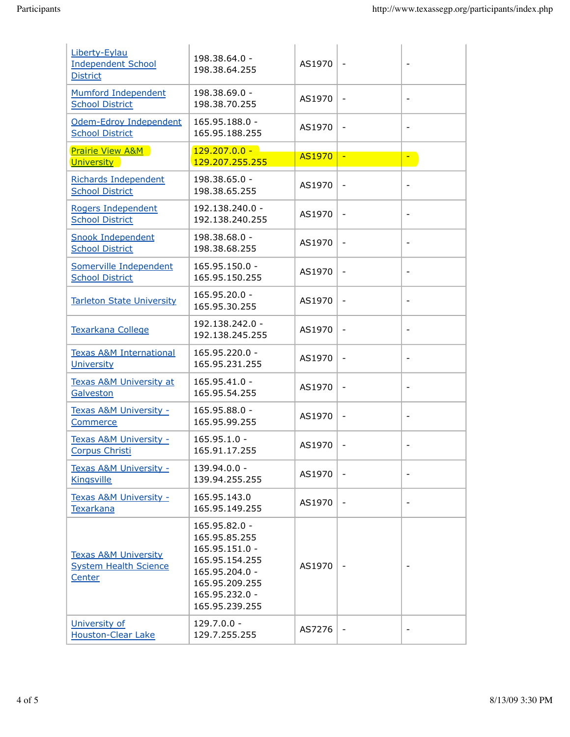| Liberty-Eylau<br><b>Independent School</b><br><b>District</b>             | 198.38.64.0 -<br>198.38.64.255                                                                                                             | AS1970        | $\overline{\phantom{a}}$ | $\overline{\phantom{a}}$ |
|---------------------------------------------------------------------------|--------------------------------------------------------------------------------------------------------------------------------------------|---------------|--------------------------|--------------------------|
| Mumford Independent<br><b>School District</b>                             | 198.38.69.0 -<br>198.38.70.255                                                                                                             | AS1970        | $\overline{\phantom{a}}$ | $\overline{\phantom{a}}$ |
| Odem-Edroy Independent<br><b>School District</b>                          | 165.95.188.0 -<br>165.95.188.255                                                                                                           | AS1970        | $\qquad \qquad -$        |                          |
| <b>Prairie View A&amp;M</b><br><b>University</b>                          | $129.207.0.0 -$<br>129.207.255.255                                                                                                         | <b>AS1970</b> | $\equiv$                 | ÷,                       |
| <b>Richards Independent</b><br><b>School District</b>                     | 198.38.65.0 -<br>198.38.65.255                                                                                                             | AS1970        | $\qquad \qquad -$        |                          |
| Rogers Independent<br><b>School District</b>                              | 192.138.240.0 -<br>192.138.240.255                                                                                                         | AS1970        | $\overline{\phantom{a}}$ | $\overline{\phantom{a}}$ |
| <b>Snook Independent</b><br><b>School District</b>                        | 198.38.68.0 -<br>198.38.68.255                                                                                                             | AS1970        | $\overline{\phantom{a}}$ | $\overline{\phantom{a}}$ |
| Somerville Independent<br><b>School District</b>                          | 165.95.150.0 -<br>165.95.150.255                                                                                                           | AS1970        | $\overline{\phantom{a}}$ |                          |
| <b>Tarleton State University</b>                                          | 165.95.20.0 -<br>165.95.30.255                                                                                                             | AS1970        | $\overline{\phantom{a}}$ |                          |
| <b>Texarkana College</b>                                                  | 192.138.242.0 -<br>192.138.245.255                                                                                                         | AS1970        | $\overline{\phantom{0}}$ | $\overline{\phantom{a}}$ |
| <b>Texas A&amp;M International</b><br>University                          | 165.95.220.0 -<br>165.95.231.255                                                                                                           | AS1970        | $\overline{\phantom{0}}$ |                          |
| <b>Texas A&amp;M University at</b><br>Galveston                           | 165.95.41.0 -<br>165.95.54.255                                                                                                             | AS1970        | $\overline{\phantom{a}}$ | $\overline{\phantom{a}}$ |
| Texas A&M University -<br><b>Commerce</b>                                 | 165.95.88.0 -<br>165.95.99.255                                                                                                             | AS1970        | $\qquad \qquad -$        | $\overline{\phantom{a}}$ |
| Texas A&M University -<br>Corpus Christi                                  | $165.95.1.0 -$<br>165.91.17.255                                                                                                            | AS1970        | $\qquad \qquad -$        |                          |
| Texas A&M University -<br><b>Kingsville</b>                               | 139.94.0.0 -<br>139.94.255.255                                                                                                             | AS1970        |                          |                          |
| Texas A&M University -<br><b>Texarkana</b>                                | 165.95.143.0<br>165.95.149.255                                                                                                             | AS1970        | $\blacksquare$           | $\overline{\phantom{a}}$ |
| <b>Texas A&amp;M University</b><br><b>System Health Science</b><br>Center | 165.95.82.0 -<br>165.95.85.255<br>165.95.151.0 -<br>165.95.154.255<br>165.95.204.0 -<br>165.95.209.255<br>165.95.232.0 -<br>165.95.239.255 | AS1970        |                          |                          |
| University of<br><b>Houston-Clear Lake</b>                                | $129.7.0.0 -$<br>129.7.255.255                                                                                                             | AS7276        | $\blacksquare$           |                          |